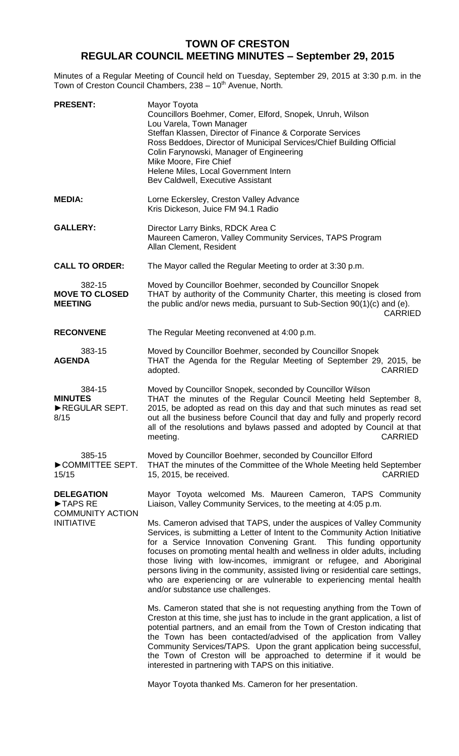## **TOWN OF CRESTON REGULAR COUNCIL MEETING MINUTES – September 29, 2015**

Minutes of a Regular Meeting of Council held on Tuesday, September 29, 2015 at 3:30 p.m. in the Town of Creston Council Chambers, 238 - 10<sup>th</sup> Avenue, North.

| <b>PRESENT:</b>                                                              | Mayor Toyota<br>Councillors Boehmer, Comer, Elford, Snopek, Unruh, Wilson<br>Lou Varela, Town Manager<br>Steffan Klassen, Director of Finance & Corporate Services<br>Ross Beddoes, Director of Municipal Services/Chief Building Official<br>Colin Farynowski, Manager of Engineering<br>Mike Moore, Fire Chief<br>Helene Miles, Local Government Intern<br>Bev Caldwell, Executive Assistant                                                                                                                                                                                  |
|------------------------------------------------------------------------------|---------------------------------------------------------------------------------------------------------------------------------------------------------------------------------------------------------------------------------------------------------------------------------------------------------------------------------------------------------------------------------------------------------------------------------------------------------------------------------------------------------------------------------------------------------------------------------|
| <b>MEDIA:</b>                                                                | Lorne Eckersley, Creston Valley Advance<br>Kris Dickeson, Juice FM 94.1 Radio                                                                                                                                                                                                                                                                                                                                                                                                                                                                                                   |
| <b>GALLERY:</b>                                                              | Director Larry Binks, RDCK Area C<br>Maureen Cameron, Valley Community Services, TAPS Program<br>Allan Clement, Resident                                                                                                                                                                                                                                                                                                                                                                                                                                                        |
| <b>CALL TO ORDER:</b>                                                        | The Mayor called the Regular Meeting to order at 3:30 p.m.                                                                                                                                                                                                                                                                                                                                                                                                                                                                                                                      |
| 382-15<br><b>MOVE TO CLOSED</b><br><b>MEETING</b>                            | Moved by Councillor Boehmer, seconded by Councillor Snopek<br>THAT by authority of the Community Charter, this meeting is closed from<br>the public and/or news media, pursuant to Sub-Section 90(1)(c) and (e).<br><b>CARRIED</b>                                                                                                                                                                                                                                                                                                                                              |
| <b>RECONVENE</b>                                                             | The Regular Meeting reconvened at 4:00 p.m.                                                                                                                                                                                                                                                                                                                                                                                                                                                                                                                                     |
| 383-15<br><b>AGENDA</b>                                                      | Moved by Councillor Boehmer, seconded by Councillor Snopek<br>THAT the Agenda for the Regular Meeting of September 29, 2015, be<br><b>CARRIED</b><br>adopted.                                                                                                                                                                                                                                                                                                                                                                                                                   |
| 384-15<br><b>MINUTES</b><br>REGULAR SEPT.<br>8/15                            | Moved by Councillor Snopek, seconded by Councillor Wilson<br>THAT the minutes of the Regular Council Meeting held September 8,<br>2015, be adopted as read on this day and that such minutes as read set<br>out all the business before Council that day and fully and properly record<br>all of the resolutions and bylaws passed and adopted by Council at that<br><b>CARRIED</b><br>meeting.                                                                                                                                                                                 |
| 385-15<br>COMMITTEE SEPT.<br>15/15                                           | Moved by Councillor Boehmer, seconded by Councillor Elford<br>THAT the minutes of the Committee of the Whole Meeting held September<br><b>CARRIED</b><br>15, 2015, be received.                                                                                                                                                                                                                                                                                                                                                                                                 |
| <b>DELEGATION</b><br>TAPS RE<br><b>COMMUNITY ACTION</b><br><b>INITIATIVE</b> | Mayor Toyota welcomed Ms. Maureen Cameron, TAPS Community<br>Liaison, Valley Community Services, to the meeting at 4:05 p.m.                                                                                                                                                                                                                                                                                                                                                                                                                                                    |
|                                                                              | Ms. Cameron advised that TAPS, under the auspices of Valley Community<br>Services, is submitting a Letter of Intent to the Community Action Initiative<br>for a Service Innovation Convening Grant. This funding opportunity<br>focuses on promoting mental health and wellness in older adults, including<br>those living with low-incomes, immigrant or refugee, and Aboriginal<br>persons living in the community, assisted living or residential care settings,<br>who are experiencing or are vulnerable to experiencing mental health<br>and/or substance use challenges. |
|                                                                              | Ms. Cameron stated that she is not requesting anything from the Town of<br>Creston at this time, she just has to include in the grant application, a list of<br>potential partners, and an email from the Town of Creston indicating that<br>the Town has been contacted/advised of the application from Valley<br>Community Services/TAPS. Upon the grant application being successful,<br>the Town of Creston will be approached to determine if it would be<br>interested in partnering with TAPS on this initiative.                                                        |

Mayor Toyota thanked Ms. Cameron for her presentation.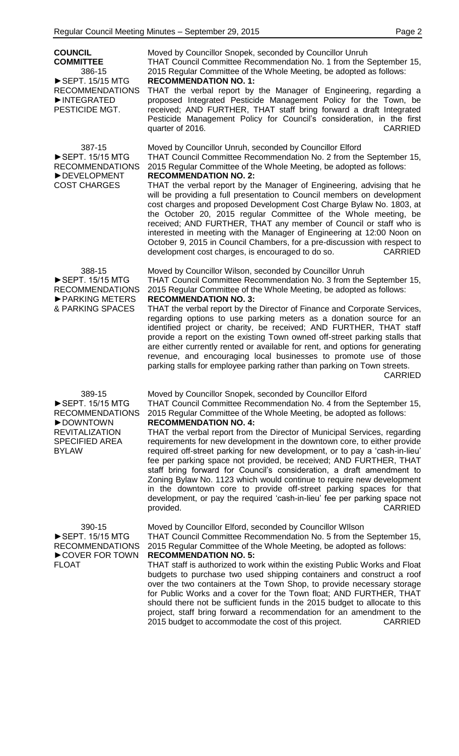| <b>COUNCIL</b><br><b>COMMITTEE</b><br>386-15<br>SEPT. 15/15 MTG<br><b>RECOMMENDATIONS</b><br>INTEGRATED<br>PESTICIDE MGT.                          | Moved by Councillor Snopek, seconded by Councillor Unruh<br>THAT Council Committee Recommendation No. 1 from the September 15,<br>2015 Regular Committee of the Whole Meeting, be adopted as follows:<br><b>RECOMMENDATION NO. 1:</b><br>THAT the verbal report by the Manager of Engineering, regarding a<br>proposed Integrated Pesticide Management Policy for the Town, be<br>received; AND FURTHER, THAT staff bring forward a draft Integrated<br>Pesticide Management Policy for Council's consideration, in the first<br><b>CARRIED</b><br>quarter of 2016.                                                                                                                                                                                                                                                                                                                      |
|----------------------------------------------------------------------------------------------------------------------------------------------------|------------------------------------------------------------------------------------------------------------------------------------------------------------------------------------------------------------------------------------------------------------------------------------------------------------------------------------------------------------------------------------------------------------------------------------------------------------------------------------------------------------------------------------------------------------------------------------------------------------------------------------------------------------------------------------------------------------------------------------------------------------------------------------------------------------------------------------------------------------------------------------------|
| 387-15<br>$\triangleright$ SEPT. 15/15 MTG<br><b>RECOMMENDATIONS</b><br>DEVELOPMENT<br><b>COST CHARGES</b>                                         | Moved by Councillor Unruh, seconded by Councillor Elford<br>THAT Council Committee Recommendation No. 2 from the September 15,<br>2015 Regular Committee of the Whole Meeting, be adopted as follows:<br><b>RECOMMENDATION NO. 2:</b><br>THAT the verbal report by the Manager of Engineering, advising that he<br>will be providing a full presentation to Council members on development<br>cost charges and proposed Development Cost Charge Bylaw No. 1803, at<br>the October 20, 2015 regular Committee of the Whole meeting, be<br>received; AND FURTHER, THAT any member of Council or staff who is<br>interested in meeting with the Manager of Engineering at 12:00 Noon on<br>October 9, 2015 in Council Chambers, for a pre-discussion with respect to<br>development cost charges, is encouraged to do so.<br><b>CARRIED</b>                                                 |
| 388-15<br>▶ SEPT. 15/15 MTG<br><b>RECOMMENDATIONS</b><br>▶ PARKING METERS<br>& PARKING SPACES                                                      | Moved by Councillor Wilson, seconded by Councillor Unruh<br>THAT Council Committee Recommendation No. 3 from the September 15,<br>2015 Regular Committee of the Whole Meeting, be adopted as follows:<br><b>RECOMMENDATION NO. 3:</b><br>THAT the verbal report by the Director of Finance and Corporate Services,<br>regarding options to use parking meters as a donation source for an<br>identified project or charity, be received; AND FURTHER, THAT staff<br>provide a report on the existing Town owned off-street parking stalls that<br>are either currently rented or available for rent, and options for generating<br>revenue, and encouraging local businesses to promote use of those<br>parking stalls for employee parking rather than parking on Town streets.<br><b>CARRIED</b>                                                                                       |
| 389-15<br>$\triangleright$ SEPT. 15/15 MTG<br><b>RECOMMENDATIONS</b><br>DOWNTOWN<br><b>REVITALIZATION</b><br><b>SPECIFIED AREA</b><br><b>BYLAW</b> | Moved by Councillor Snopek, seconded by Councillor Elford<br>THAT Council Committee Recommendation No. 4 from the September 15,<br>2015 Regular Committee of the Whole Meeting, be adopted as follows:<br><b>RECOMMENDATION NO. 4:</b><br>THAT the verbal report from the Director of Municipal Services, regarding<br>requirements for new development in the downtown core, to either provide<br>required off-street parking for new development, or to pay a 'cash-in-lieu'<br>fee per parking space not provided, be received; AND FURTHER, THAT<br>staff bring forward for Council's consideration, a draft amendment to<br>Zoning Bylaw No. 1123 which would continue to require new development<br>in the downtown core to provide off-street parking spaces for that<br>development, or pay the required 'cash-in-lieu' fee per parking space not<br><b>CARRIED</b><br>provided. |
| 390-15<br>▶ SEPT. 15/15 MTG<br><b>RECOMMENDATIONS</b><br>COVER FOR TOWN<br><b>FLOAT</b>                                                            | Moved by Councillor Elford, seconded by Councillor Wilson<br>THAT Council Committee Recommendation No. 5 from the September 15,<br>2015 Regular Committee of the Whole Meeting, be adopted as follows:<br><b>RECOMMENDATION NO. 5:</b><br>THAT staff is authorized to work within the existing Public Works and Float<br>budgets to purchase two used shipping containers and construct a roof<br>over the two containers at the Town Shop, to provide necessary storage<br>for Public Works and a cover for the Town float; AND FURTHER, THAT<br>should there not be sufficient funds in the 2015 budget to allocate to this<br>project, staff bring forward a recommendation for an amendment to the<br>2015 budget to accommodate the cost of this project.<br><b>CARRIED</b>                                                                                                         |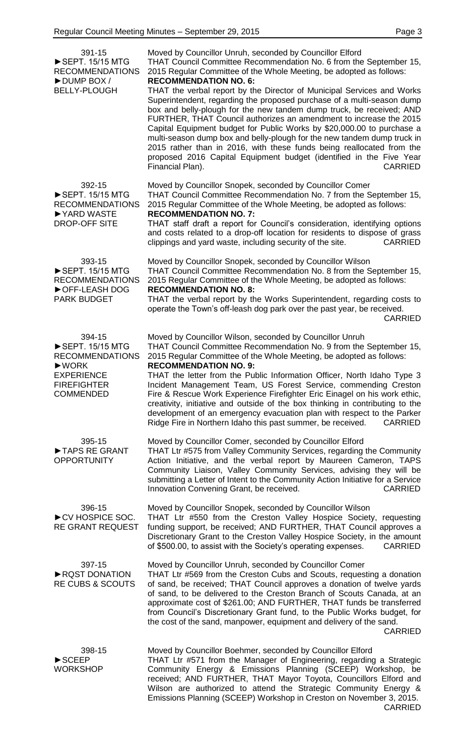| 391-15<br>SEPT. 15/15 MTG<br><b>RECOMMENDATIONS</b><br>DUMP BOX /<br><b>BELLY-PLOUGH</b>                                               | Moved by Councillor Unruh, seconded by Councillor Elford<br>THAT Council Committee Recommendation No. 6 from the September 15,<br>2015 Regular Committee of the Whole Meeting, be adopted as follows:<br><b>RECOMMENDATION NO. 6:</b><br>THAT the verbal report by the Director of Municipal Services and Works<br>Superintendent, regarding the proposed purchase of a multi-season dump<br>box and belly-plough for the new tandem dump truck, be received; AND<br>FURTHER, THAT Council authorizes an amendment to increase the 2015<br>Capital Equipment budget for Public Works by \$20,000.00 to purchase a<br>multi-season dump box and belly-plough for the new tandem dump truck in<br>2015 rather than in 2016, with these funds being reallocated from the<br>proposed 2016 Capital Equipment budget (identified in the Five Year<br>Financial Plan).<br><b>CARRIED</b> |
|----------------------------------------------------------------------------------------------------------------------------------------|------------------------------------------------------------------------------------------------------------------------------------------------------------------------------------------------------------------------------------------------------------------------------------------------------------------------------------------------------------------------------------------------------------------------------------------------------------------------------------------------------------------------------------------------------------------------------------------------------------------------------------------------------------------------------------------------------------------------------------------------------------------------------------------------------------------------------------------------------------------------------------|
| 392-15<br>$\triangleright$ SEPT. 15/15 MTG<br><b>RECOMMENDATIONS</b><br>▶ YARD WASTE<br><b>DROP-OFF SITE</b>                           | Moved by Councillor Snopek, seconded by Councillor Comer<br>THAT Council Committee Recommendation No. 7 from the September 15,<br>2015 Regular Committee of the Whole Meeting, be adopted as follows:<br><b>RECOMMENDATION NO. 7:</b><br>THAT staff draft a report for Council's consideration, identifying options<br>and costs related to a drop-off location for residents to dispose of grass<br>clippings and yard waste, including security of the site.<br><b>CARRIED</b>                                                                                                                                                                                                                                                                                                                                                                                                   |
| 393-15<br>SEPT. 15/15 MTG<br><b>RECOMMENDATIONS</b><br>OFF-LEASH DOG<br><b>PARK BUDGET</b>                                             | Moved by Councillor Snopek, seconded by Councillor Wilson<br>THAT Council Committee Recommendation No. 8 from the September 15,<br>2015 Regular Committee of the Whole Meeting, be adopted as follows:<br><b>RECOMMENDATION NO. 8:</b><br>THAT the verbal report by the Works Superintendent, regarding costs to<br>operate the Town's off-leash dog park over the past year, be received.<br><b>CARRIED</b>                                                                                                                                                                                                                                                                                                                                                                                                                                                                       |
| 394-15<br>▶ SEPT. 15/15 MTG<br><b>RECOMMENDATIONS</b><br>$\square$ WORK<br><b>EXPERIENCE</b><br><b>FIREFIGHTER</b><br><b>COMMENDED</b> | Moved by Councillor Wilson, seconded by Councillor Unruh<br>THAT Council Committee Recommendation No. 9 from the September 15,<br>2015 Regular Committee of the Whole Meeting, be adopted as follows:<br><b>RECOMMENDATION NO. 9:</b><br>THAT the letter from the Public Information Officer, North Idaho Type 3<br>Incident Management Team, US Forest Service, commending Creston<br>Fire & Rescue Work Experience Firefighter Eric Einagel on his work ethic,<br>creativity, initiative and outside of the box thinking in contributing to the<br>development of an emergency evacuation plan with respect to the Parker<br>Ridge Fire in Northern Idaho this past summer, be received.<br><b>CARRIED</b>                                                                                                                                                                       |
| 395-15<br>TAPS RE GRANT<br><b>OPPORTUNITY</b>                                                                                          | Moved by Councillor Comer, seconded by Councillor Elford<br>THAT Ltr #575 from Valley Community Services, regarding the Community<br>Action Initiative, and the verbal report by Maureen Cameron, TAPS<br>Community Liaison, Valley Community Services, advising they will be<br>submitting a Letter of Intent to the Community Action Initiative for a Service<br>Innovation Convening Grant, be received.<br><b>CARRIED</b>                                                                                                                                                                                                                                                                                                                                                                                                                                                      |
| 396-15<br>CV HOSPICE SOC.<br><b>RE GRANT REQUEST</b>                                                                                   | Moved by Councillor Snopek, seconded by Councillor Wilson<br>THAT Ltr #550 from the Creston Valley Hospice Society, requesting<br>funding support, be received; AND FURTHER, THAT Council approves a<br>Discretionary Grant to the Creston Valley Hospice Society, in the amount<br>of \$500.00, to assist with the Society's operating expenses.<br><b>CARRIED</b>                                                                                                                                                                                                                                                                                                                                                                                                                                                                                                                |
| 397-15<br>RQST DONATION<br><b>RE CUBS &amp; SCOUTS</b>                                                                                 | Moved by Councillor Unruh, seconded by Councillor Comer<br>THAT Ltr #569 from the Creston Cubs and Scouts, requesting a donation<br>of sand, be received; THAT Council approves a donation of twelve yards<br>of sand, to be delivered to the Creston Branch of Scouts Canada, at an<br>approximate cost of \$261.00; AND FURTHER, THAT funds be transferred<br>from Council's Discretionary Grant fund, to the Public Works budget, for<br>the cost of the sand, manpower, equipment and delivery of the sand.<br><b>CARRIED</b>                                                                                                                                                                                                                                                                                                                                                  |
| 398-15<br>$\blacktriangleright$ SCEEP<br><b>WORKSHOP</b>                                                                               | Moved by Councillor Boehmer, seconded by Councillor Elford<br>THAT Ltr #571 from the Manager of Engineering, regarding a Strategic<br>Community Energy & Emissions Planning (SCEEP) Workshop, be<br>received; AND FURTHER, THAT Mayor Toyota, Councillors Elford and<br>Wilson are authorized to attend the Strategic Community Energy &<br>Emissions Planning (SCEEP) Workshop in Creston on November 3, 2015.<br><b>CARRIED</b>                                                                                                                                                                                                                                                                                                                                                                                                                                                  |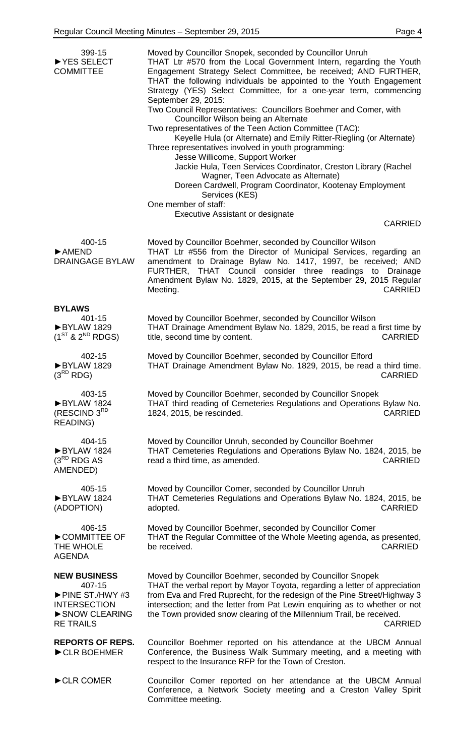| 399-15<br>▶ YES SELECT<br><b>COMMITTEE</b>                      | Moved by Councillor Snopek, seconded by Councillor Unruh<br>THAT Ltr #570 from the Local Government Intern, regarding the Youth<br>Engagement Strategy Select Committee, be received; AND FURTHER,<br>THAT the following individuals be appointed to the Youth Engagement<br>Strategy (YES) Select Committee, for a one-year term, commencing<br>September 29, 2015:<br>Two Council Representatives: Councillors Boehmer and Comer, with<br>Councillor Wilson being an Alternate<br>Two representatives of the Teen Action Committee (TAC):<br>Keyelle Hula (or Alternate) and Emily Ritter-Riegling (or Alternate)<br>Three representatives involved in youth programming:<br>Jesse Willicome, Support Worker<br>Jackie Hula, Teen Services Coordinator, Creston Library (Rachel<br>Wagner, Teen Advocate as Alternate)<br>Doreen Cardwell, Program Coordinator, Kootenay Employment<br>Services (KES)<br>One member of staff:<br>Executive Assistant or designate<br><b>CARRIED</b> |
|-----------------------------------------------------------------|---------------------------------------------------------------------------------------------------------------------------------------------------------------------------------------------------------------------------------------------------------------------------------------------------------------------------------------------------------------------------------------------------------------------------------------------------------------------------------------------------------------------------------------------------------------------------------------------------------------------------------------------------------------------------------------------------------------------------------------------------------------------------------------------------------------------------------------------------------------------------------------------------------------------------------------------------------------------------------------|
| 400-15<br>$\blacktriangleright$ AMEND<br><b>DRAINGAGE BYLAW</b> | Moved by Councillor Boehmer, seconded by Councillor Wilson<br>THAT Ltr #556 from the Director of Municipal Services, regarding an<br>amendment to Drainage Bylaw No. 1417, 1997, be received; AND<br>FURTHER, THAT Council consider three readings to Drainage<br>Amendment Bylaw No. 1829, 2015, at the September 29, 2015 Regular<br><b>CARRIED</b><br>Meeting.                                                                                                                                                                                                                                                                                                                                                                                                                                                                                                                                                                                                                     |
| <b>BYLAWS</b>                                                   | Moved by Councillor Boehmer, seconded by Councillor Wilson                                                                                                                                                                                                                                                                                                                                                                                                                                                                                                                                                                                                                                                                                                                                                                                                                                                                                                                            |
| 401-15                                                          | THAT Drainage Amendment Bylaw No. 1829, 2015, be read a first time by                                                                                                                                                                                                                                                                                                                                                                                                                                                                                                                                                                                                                                                                                                                                                                                                                                                                                                                 |
| ▶BYLAW 1829                                                     | title, second time by content.                                                                                                                                                                                                                                                                                                                                                                                                                                                                                                                                                                                                                                                                                                                                                                                                                                                                                                                                                        |
| $(1^{ST}$ & $2^{ND}$ RDGS)                                      | <b>CARRIED</b>                                                                                                                                                                                                                                                                                                                                                                                                                                                                                                                                                                                                                                                                                                                                                                                                                                                                                                                                                                        |
| 402-15                                                          | Moved by Councillor Boehmer, seconded by Councillor Elford                                                                                                                                                                                                                                                                                                                                                                                                                                                                                                                                                                                                                                                                                                                                                                                                                                                                                                                            |
| BYLAW 1829                                                      | THAT Drainage Amendment Bylaw No. 1829, 2015, be read a third time.                                                                                                                                                                                                                                                                                                                                                                                                                                                                                                                                                                                                                                                                                                                                                                                                                                                                                                                   |
| $(3^{RD}$ RDG)                                                  | <b>CARRIED</b>                                                                                                                                                                                                                                                                                                                                                                                                                                                                                                                                                                                                                                                                                                                                                                                                                                                                                                                                                                        |
| 403-15                                                          | Moved by Councillor Boehmer, seconded by Councillor Snopek                                                                                                                                                                                                                                                                                                                                                                                                                                                                                                                                                                                                                                                                                                                                                                                                                                                                                                                            |
| BYLAW 1824                                                      | THAT third reading of Cemeteries Regulations and Operations Bylaw No.                                                                                                                                                                                                                                                                                                                                                                                                                                                                                                                                                                                                                                                                                                                                                                                                                                                                                                                 |
| (RESCIND 3RD                                                    | 1824, 2015, be rescinded.                                                                                                                                                                                                                                                                                                                                                                                                                                                                                                                                                                                                                                                                                                                                                                                                                                                                                                                                                             |
| <b>READING)</b>                                                 | <b>CARRIED</b>                                                                                                                                                                                                                                                                                                                                                                                                                                                                                                                                                                                                                                                                                                                                                                                                                                                                                                                                                                        |
| 404-15                                                          | Moved by Councillor Unruh, seconded by Councillor Boehmer                                                                                                                                                                                                                                                                                                                                                                                                                                                                                                                                                                                                                                                                                                                                                                                                                                                                                                                             |
| BYLAW 1824                                                      | THAT Cemeteries Regulations and Operations Bylaw No. 1824, 2015, be                                                                                                                                                                                                                                                                                                                                                                                                                                                                                                                                                                                                                                                                                                                                                                                                                                                                                                                   |
| $(3^{RD}$ RDG AS                                                | read a third time, as amended.                                                                                                                                                                                                                                                                                                                                                                                                                                                                                                                                                                                                                                                                                                                                                                                                                                                                                                                                                        |
| AMENDED)                                                        | <b>CARRIED</b>                                                                                                                                                                                                                                                                                                                                                                                                                                                                                                                                                                                                                                                                                                                                                                                                                                                                                                                                                                        |
| 405-15<br>BYLAW 1824<br>(ADOPTION)                              | Moved by Councillor Comer, seconded by Councillor Unruh<br>THAT Cemeteries Regulations and Operations Bylaw No. 1824, 2015, be<br><b>CARRIED</b><br>adopted.                                                                                                                                                                                                                                                                                                                                                                                                                                                                                                                                                                                                                                                                                                                                                                                                                          |
| 406-15                                                          | Moved by Councillor Boehmer, seconded by Councillor Comer                                                                                                                                                                                                                                                                                                                                                                                                                                                                                                                                                                                                                                                                                                                                                                                                                                                                                                                             |
| COMMITTEE OF                                                    | THAT the Regular Committee of the Whole Meeting agenda, as presented,                                                                                                                                                                                                                                                                                                                                                                                                                                                                                                                                                                                                                                                                                                                                                                                                                                                                                                                 |
| THE WHOLE                                                       | be received.                                                                                                                                                                                                                                                                                                                                                                                                                                                                                                                                                                                                                                                                                                                                                                                                                                                                                                                                                                          |
| AGENDA                                                          | <b>CARRIED</b>                                                                                                                                                                                                                                                                                                                                                                                                                                                                                                                                                                                                                                                                                                                                                                                                                                                                                                                                                                        |
| <b>NEW BUSINESS</b>                                             | Moved by Councillor Boehmer, seconded by Councillor Snopek                                                                                                                                                                                                                                                                                                                                                                                                                                                                                                                                                                                                                                                                                                                                                                                                                                                                                                                            |
| 407-15                                                          | THAT the verbal report by Mayor Toyota, regarding a letter of appreciation                                                                                                                                                                                                                                                                                                                                                                                                                                                                                                                                                                                                                                                                                                                                                                                                                                                                                                            |
| $\triangleright$ PINE ST./HWY #3                                | from Eva and Fred Ruprecht, for the redesign of the Pine Street/Highway 3                                                                                                                                                                                                                                                                                                                                                                                                                                                                                                                                                                                                                                                                                                                                                                                                                                                                                                             |
| <b>INTERSECTION</b>                                             | intersection; and the letter from Pat Lewin enquiring as to whether or not                                                                                                                                                                                                                                                                                                                                                                                                                                                                                                                                                                                                                                                                                                                                                                                                                                                                                                            |
| SNOW CLEARING                                                   | the Town provided snow clearing of the Millennium Trail, be received.                                                                                                                                                                                                                                                                                                                                                                                                                                                                                                                                                                                                                                                                                                                                                                                                                                                                                                                 |
| <b>RE TRAILS</b>                                                | <b>CARRIED</b>                                                                                                                                                                                                                                                                                                                                                                                                                                                                                                                                                                                                                                                                                                                                                                                                                                                                                                                                                                        |
| <b>REPORTS OF REPS.</b><br>CLR BOEHMER                          | Councillor Boehmer reported on his attendance at the UBCM Annual<br>Conference, the Business Walk Summary meeting, and a meeting with<br>respect to the Insurance RFP for the Town of Creston.                                                                                                                                                                                                                                                                                                                                                                                                                                                                                                                                                                                                                                                                                                                                                                                        |
| CLR COMER                                                       | Councillor Comer reported on her attendance at the UBCM Annual<br>Conference, a Network Society meeting and a Creston Valley Spirit<br>Committee meeting.                                                                                                                                                                                                                                                                                                                                                                                                                                                                                                                                                                                                                                                                                                                                                                                                                             |